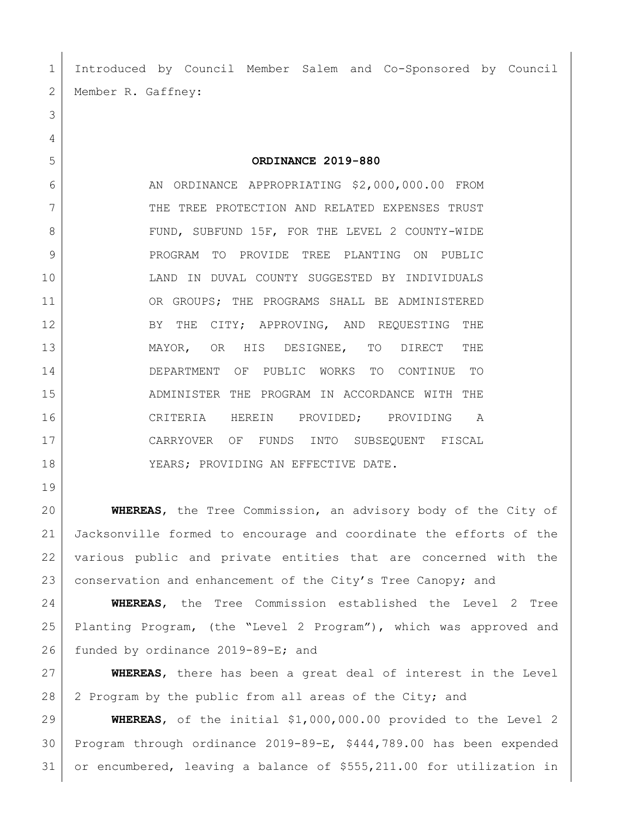Introduced by Council Member Salem and Co-Sponsored by Council 2 | Member R. Gaffney:

**ORDINANCE 2019-880**

6 AN ORDINANCE APPROPRIATING \$2,000,000.00 FROM 7 THE TREE PROTECTION AND RELATED EXPENSES TRUST 8 FUND, SUBFUND 15F, FOR THE LEVEL 2 COUNTY-WIDE PROGRAM TO PROVIDE TREE PLANTING ON PUBLIC LAND IN DUVAL COUNTY SUGGESTED BY INDIVIDUALS OR GROUPS; THE PROGRAMS SHALL BE ADMINISTERED 12 BY THE CITY; APPROVING, AND REQUESTING THE MAYOR, OR HIS DESIGNEE, TO DIRECT THE DEPARTMENT OF PUBLIC WORKS TO CONTINUE TO ADMINISTER THE PROGRAM IN ACCORDANCE WITH THE CRITERIA HEREIN PROVIDED; PROVIDING A CARRYOVER OF FUNDS INTO SUBSEQUENT FISCAL 18 | YEARS; PROVIDING AN EFFECTIVE DATE.

 **WHEREAS**, the Tree Commission, an advisory body of the City of Jacksonville formed to encourage and coordinate the efforts of the various public and private entities that are concerned with the 23 conservation and enhancement of the City's Tree Canopy; and

 **WHEREAS**, the Tree Commission established the Level 2 Tree Planting Program, (the "Level 2 Program"), which was approved and 26 funded by ordinance 2019-89-E; and

 **WHEREAS**, there has been a great deal of interest in the Level 28 2 Program by the public from all areas of the City; and

 **WHEREAS**, of the initial \$1,000,000.00 provided to the Level 2 Program through ordinance 2019-89-E, \$444,789.00 has been expended or encumbered, leaving a balance of \$555,211.00 for utilization in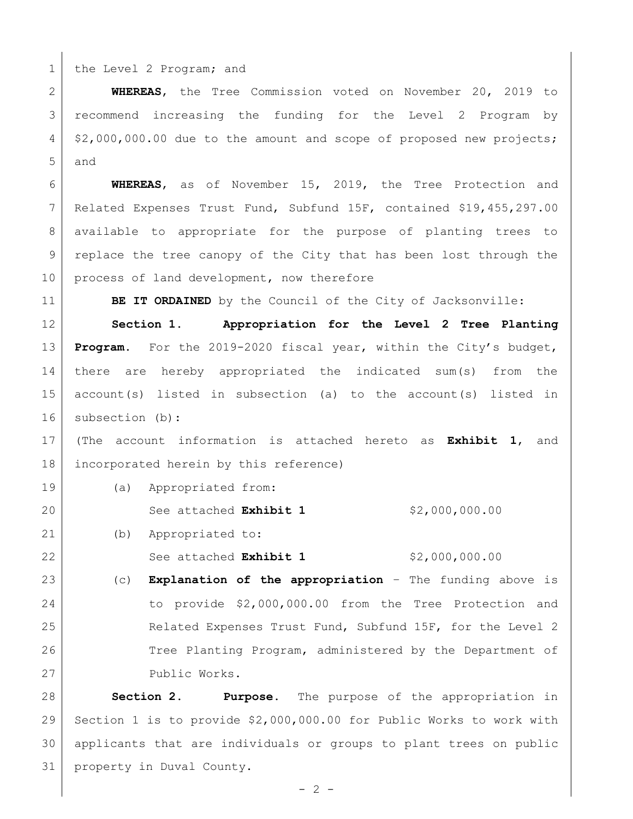1 the Level 2 Program; and

 **WHEREAS**, the Tree Commission voted on November 20, 2019 to recommend increasing the funding for the Level 2 Program by  $4 \mid 2,000,000.00$  due to the amount and scope of proposed new projects; and

 **WHEREAS**, as of November 15, 2019, the Tree Protection and Related Expenses Trust Fund, Subfund 15F, contained \$19,455,297.00 available to appropriate for the purpose of planting trees to replace the tree canopy of the City that has been lost through the 10 process of land development, now therefore

**BE IT ORDAINED** by the Council of the City of Jacksonville:

 **Section 1. Appropriation for the Level 2 Tree Planting Program.** For the 2019-2020 fiscal year, within the City's budget, there are hereby appropriated the indicated sum(s) from the account(s) listed in subsection (a) to the account(s) listed in subsection (b):

 (The account information is attached hereto as **Exhibit 1**, and incorporated herein by this reference)

(a) Appropriated from:

See attached **Exhibit 1** \$2,000,000.00

(b) Appropriated to:

22 See attached **Exhibit 1** \$2,000,000.00

 (c) **Explanation of the appropriation** – The funding above is to provide \$2,000,000.00 from the Tree Protection and Related Expenses Trust Fund, Subfund 15F, for the Level 2 26 Tree Planting Program, administered by the Department of 27 Public Works.

 **Section 2. Purpose.** The purpose of the appropriation in Section 1 is to provide \$2,000,000.00 for Public Works to work with applicants that are individuals or groups to plant trees on public property in Duval County.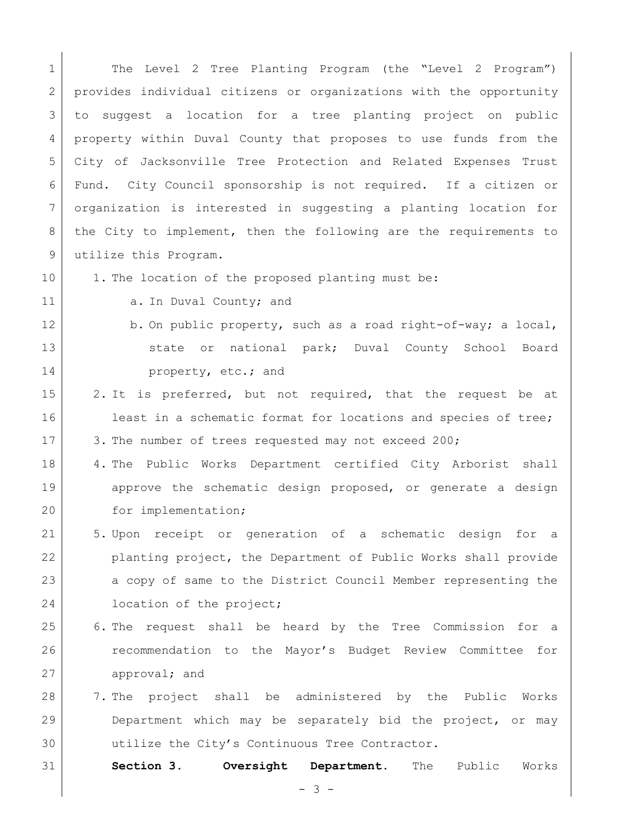1 | The Level 2 Tree Planting Program (the "Level 2 Program") 2 provides individual citizens or organizations with the opportunity 3 to suggest a location for a tree planting project on public 4 property within Duval County that proposes to use funds from the 5 City of Jacksonville Tree Protection and Related Expenses Trust 6 Fund. City Council sponsorship is not required. If a citizen or 7 organization is interested in suggesting a planting location for 8 the City to implement, then the following are the requirements to 9 utilize this Program. 10 1. The location of the proposed planting must be: 11 a. In Duval County; and 12 b. On public property, such as a road right-of-way; a local, 13 State or national park; Duval County School Board 14 **property**, etc.; and 15 2. It is preferred, but not required, that the request be at 16 least in a schematic format for locations and species of tree; 17 3. The number of trees requested may not exceed 200; 18 4. The Public Works Department certified City Arborist shall 19 approve the schematic design proposed, or generate a design 20 for implementation; 21 5. Upon receipt or generation of a schematic design for a 22 planting project, the Department of Public Works shall provide 23 a copy of same to the District Council Member representing the 24 **location of the project;** 25 6. The request shall be heard by the Tree Commission for a 26 recommendation to the Mayor's Budget Review Committee for 27 approval; and 28 7. The project shall be administered by the Public Works 29 Department which may be separately bid the project, or may 30 utilize the City's Continuous Tree Contractor. 31 **Section 3. Oversight Department.** The Public Works

- 3 -